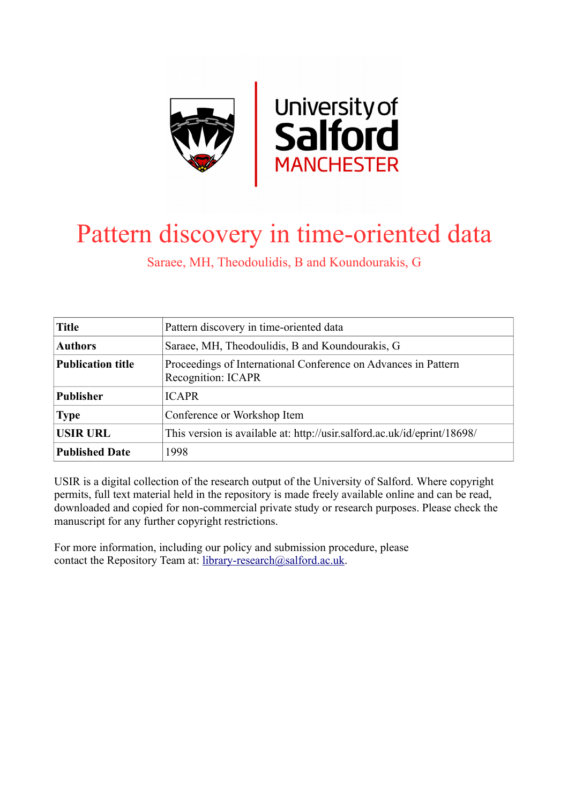

# Pattern discovery in time-oriented data

Saraee, MH, Theodoulidis, B and Koundourakis, G

| <b>Title</b>             | Pattern discovery in time-oriented data                                              |
|--------------------------|--------------------------------------------------------------------------------------|
| <b>Authors</b>           | Saraee, MH, Theodoulidis, B and Koundourakis, G                                      |
| <b>Publication title</b> | Proceedings of International Conference on Advances in Pattern<br>Recognition: ICAPR |
| <b>Publisher</b>         | <b>ICAPR</b>                                                                         |
| <b>Type</b>              | Conference or Workshop Item                                                          |
| <b>USIR URL</b>          | This version is available at: http://usir.salford.ac.uk/id/eprint/18698/             |
| <b>Published Date</b>    | 1998                                                                                 |

USIR is a digital collection of the research output of the University of Salford. Where copyright permits, full text material held in the repository is made freely available online and can be read, downloaded and copied for non-commercial private study or research purposes. Please check the manuscript for any further copyright restrictions.

For more information, including our policy and submission procedure, please contact the Repository Team at: [library-research@salford.ac.uk.](mailto:library-research@salford.ac.uk)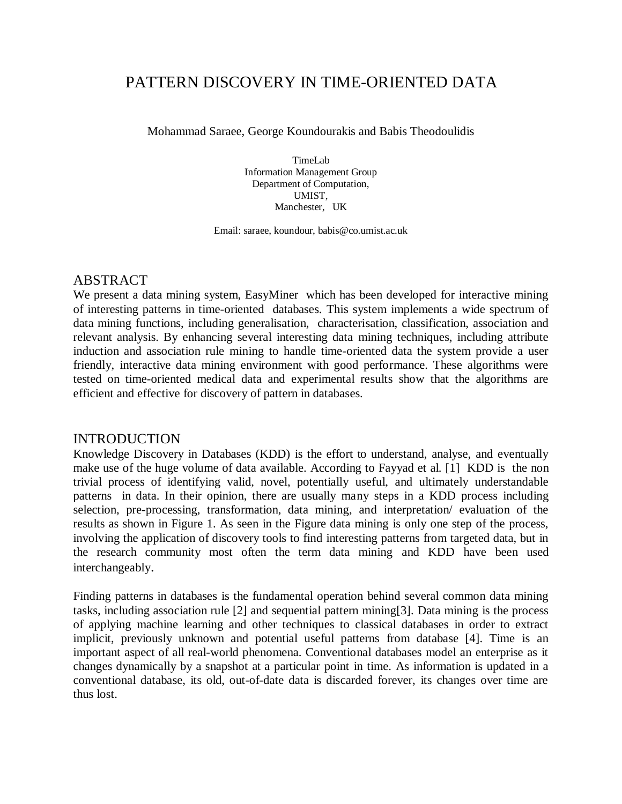## PATTERN DISCOVERY IN TIME-ORIENTED DATA

Mohammad Saraee, George Koundourakis and Babis Theodoulidis

TimeLab Information Management Group Department of Computation, UMIST, Manchester, UK

Email: saraee, koundour, babis@co.umist.ac.uk

#### ABSTRACT

We present a data mining system, EasyMiner which has been developed for interactive mining of interesting patterns in time-oriented databases. This system implements a wide spectrum of data mining functions, including generalisation, characterisation, classification, association and relevant analysis. By enhancing several interesting data mining techniques, including attribute induction and association rule mining to handle time-oriented data the system provide a user friendly, interactive data mining environment with good performance. These algorithms were tested on time-oriented medical data and experimental results show that the algorithms are efficient and effective for discovery of pattern in databases.

#### INTRODUCTION

Knowledge Discovery in Databases (KDD) is the effort to understand, analyse, and eventually make use of the huge volume of data available. According to Fayyad et al. [1] KDD is the non trivial process of identifying valid, novel, potentially useful, and ultimately understandable patterns in data. In their opinion, there are usually many steps in a KDD process including selection, pre-processing, transformation, data mining, and interpretation/ evaluation of the results as shown in Figure 1. As seen in the Figure data mining is only one step of the process, involving the application of discovery tools to find interesting patterns from targeted data, but in the research community most often the term data mining and KDD have been used interchangeably.

Finding patterns in databases is the fundamental operation behind several common data mining tasks, including association rule [2] and sequential pattern mining[3]. Data mining is the process of applying machine learning and other techniques to classical databases in order to extract implicit, previously unknown and potential useful patterns from database [4]. Time is an important aspect of all real-world phenomena. Conventional databases model an enterprise as it changes dynamically by a snapshot at a particular point in time. As information is updated in a conventional database, its old, out-of-date data is discarded forever, its changes over time are thus lost.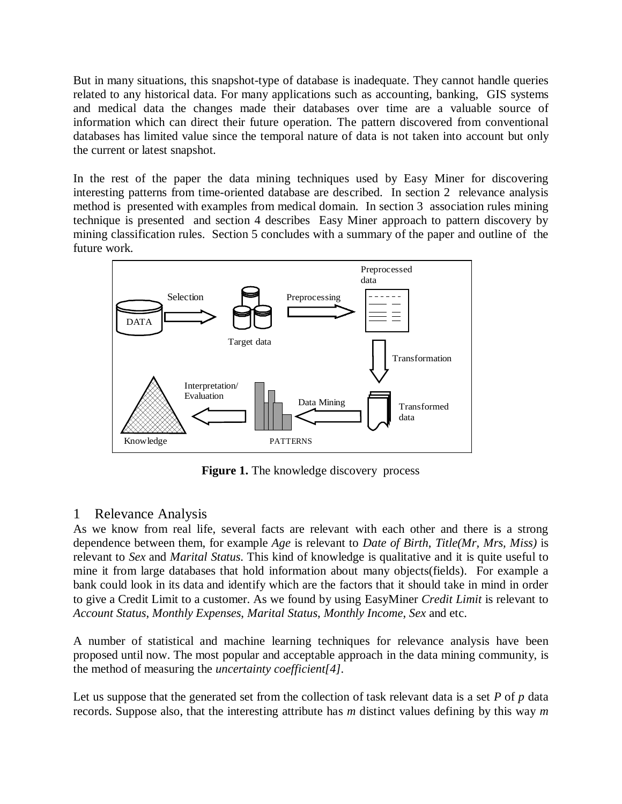But in many situations, this snapshot-type of database is inadequate. They cannot handle queries related to any historical data. For many applications such as accounting, banking, GIS systems and medical data the changes made their databases over time are a valuable source of information which can direct their future operation. The pattern discovered from conventional databases has limited value since the temporal nature of data is not taken into account but only the current or latest snapshot.

In the rest of the paper the data mining techniques used by Easy Miner for discovering interesting patterns from time-oriented database are described. In section 2 relevance analysis method is presented with examples from medical domain. In section 3 association rules mining technique is presented and section 4 describes Easy Miner approach to pattern discovery by mining classification rules. Section 5 concludes with a summary of the paper and outline of the future work.



**Figure 1.** The knowledge discovery process

### 1 Relevance Analysis

As we know from real life, several facts are relevant with each other and there is a strong dependence between them, for example *Age* is relevant to *Date of Birth*, *Title(Mr, Mrs, Miss)* is relevant to *Sex* and *Marital Status*. This kind of knowledge is qualitative and it is quite useful to mine it from large databases that hold information about many objects(fields). For example a bank could look in its data and identify which are the factors that it should take in mind in order to give a Credit Limit to a customer. As we found by using EasyMiner *Credit Limit* is relevant to *Account Status*, *Monthly Expenses*, *Marital Status*, *Monthly Income*, *Sex* and etc.

A number of statistical and machine learning techniques for relevance analysis have been proposed until now. The most popular and acceptable approach in the data mining community, is the method of measuring the *uncertainty coefficient[4]*.

Let us suppose that the generated set from the collection of task relevant data is a set *P* of *p* data records. Suppose also, that the interesting attribute has *m* distinct values defining by this way *m*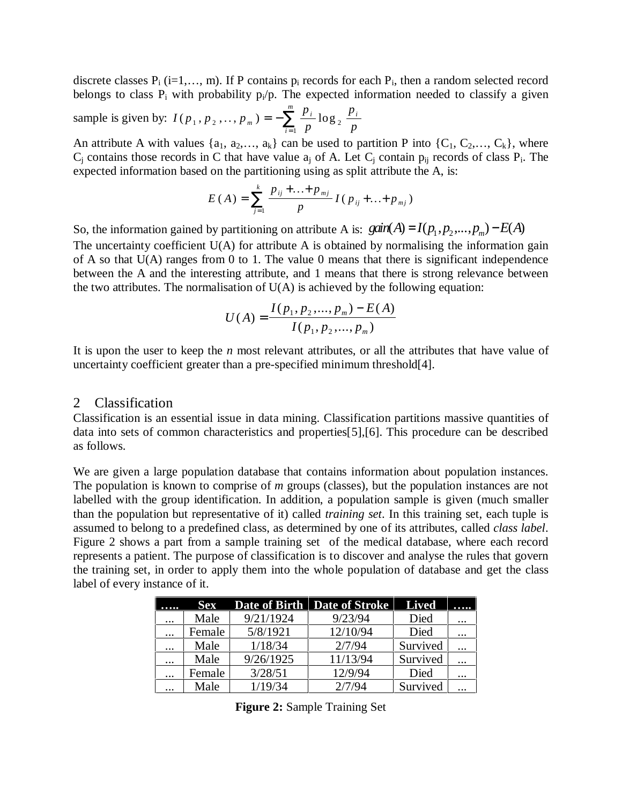discrete classes  $P_i$  (i=1,..., m). If P contains  $p_i$  records for each  $P_i$ , then a random selected record belongs to class  $P_i$  with probability  $p_i/p$ . The expected information needed to classify a given

sample is given by: 
$$
I(p_1, p_2, ..., p_m) = -\sum_{i=1}^{m} \frac{p_i}{p} \log_2 \frac{p_i}{p}
$$

An attribute A with values  $\{a_1, a_2,..., a_k\}$  can be used to partition P into  $\{C_1, C_2,..., C_k\}$ , where  $C_i$  contains those records in C that have value  $a_i$  of A. Let  $C_j$  contain  $p_{ij}$  records of class  $P_i$ . The expected information based on the partitioning using as split attribute the A, is:

$$
E(A) = \sum_{j=1}^{k} \frac{p_{ij} + ... + p_{mj}}{p} I(p_{ij} + ... + p_{mj})
$$

So, the information gained by partitioning on attribute A is:  $gain(A) = I(p_1, p_2,..., p_m) - E(A)$ 

The uncertainty coefficient U(A) for attribute A is obtained by normalising the information gain of A so that  $U(A)$  ranges from 0 to 1. The value 0 means that there is significant independence between the A and the interesting attribute, and 1 means that there is strong relevance between the two attributes. The normalisation of  $U(A)$  is achieved by the following equation:

$$
U(A) = \frac{I(p_1, p_2, ..., p_m) - E(A)}{I(p_1, p_2, ..., p_m)}
$$

It is upon the user to keep the *n* most relevant attributes, or all the attributes that have value of uncertainty coefficient greater than a pre-specified minimum threshold[4].

#### 2 Classification

Classification is an essential issue in data mining. Classification partitions massive quantities of data into sets of common characteristics and properties[5],[6]. This procedure can be described as follows.

We are given a large population database that contains information about population instances. The population is known to comprise of *m* groups (classes), but the population instances are not labelled with the group identification. In addition, a population sample is given (much smaller than the population but representative of it) called *training set*. In this training set, each tuple is assumed to belong to a predefined class, as determined by one of its attributes, called *class label*. Figure 2 shows a part from a sample training set of the medical database, where each record represents a patient. The purpose of classification is to discover and analyse the rules that govern the training set, in order to apply them into the whole population of database and get the class label of every instance of it.

|          | <b>Sex</b> |           | Date of Birth Date of Stroke | <b>Lived</b> |          |
|----------|------------|-----------|------------------------------|--------------|----------|
| $\cdots$ | Male       | 9/21/1924 | 9/23/94                      | Died         | $\cdots$ |
| $\cdots$ | Female     | 5/8/1921  | 12/10/94                     | Died         | $\cdots$ |
| $\cdots$ | Male       | 1/18/34   | 2/7/94                       | Survived     |          |
| $\cdots$ | Male       | 9/26/1925 | 11/13/94                     | Survived     | $\cdots$ |
| $\cdots$ | Female     | 3/28/51   | 12/9/94                      | Died         | $\cdots$ |
| $\cdots$ | Male       | 1/19/34   | 2/7/94                       | Survived     |          |

**Figure 2:** Sample Training Set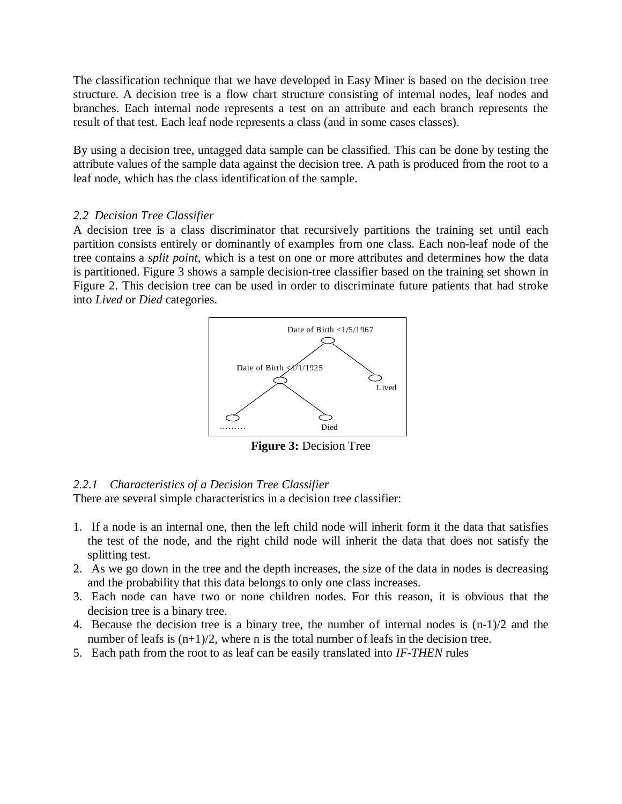The classification technique that we have developed in Easy Miner is based on the decision tree structure. A decision tree is a flow chart structure consisting of internal nodes, leaf nodes and branches. Each internal node represents a test on an attribute and each branch represents the result of that test. Each leaf node represents a class (and in some cases classes).

By using a decision tree, untagged data sample can be classified. This can be done by testing the attribute values of the sample data against the decision tree. A path is produced from the root to a leaf node, which has the class identification of the sample.

#### *2.2 Decision Tree Classifier*

A decision tree is a class discriminator that recursively partitions the training set until each partition consists entirely or dominantly of examples from one class. Each non-leaf node of the tree contains a *split point*, which is a test on one or more attributes and determines how the data is partitioned. Figure 3 shows a sample decision-tree classifier based on the training set shown in Figure 2. This decision tree can be used in order to discriminate future patients that had stroke into *Lived* or *Died* categories.



**Figure 3:** Decision Tree

#### *2.2.1 Characteristics of a Decision Tree Classifier*

There are several simple characteristics in a decision tree classifier:

- 1. If a node is an internal one, then the left child node will inherit form it the data that satisfies the test of the node, and the right child node will inherit the data that does not satisfy the splitting test.
- 2. As we go down in the tree and the depth increases, the size of the data in nodes is decreasing and the probability that this data belongs to only one class increases.
- 3. Each node can have two or none children nodes. For this reason, it is obvious that the decision tree is a binary tree.
- 4. Because the decision tree is a binary tree, the number of internal nodes is (n-1)/2 and the number of leafs is  $(n+1)/2$ , where n is the total number of leafs in the decision tree.
- 5. Each path from the root to as leaf can be easily translated into *IF-THEN* rules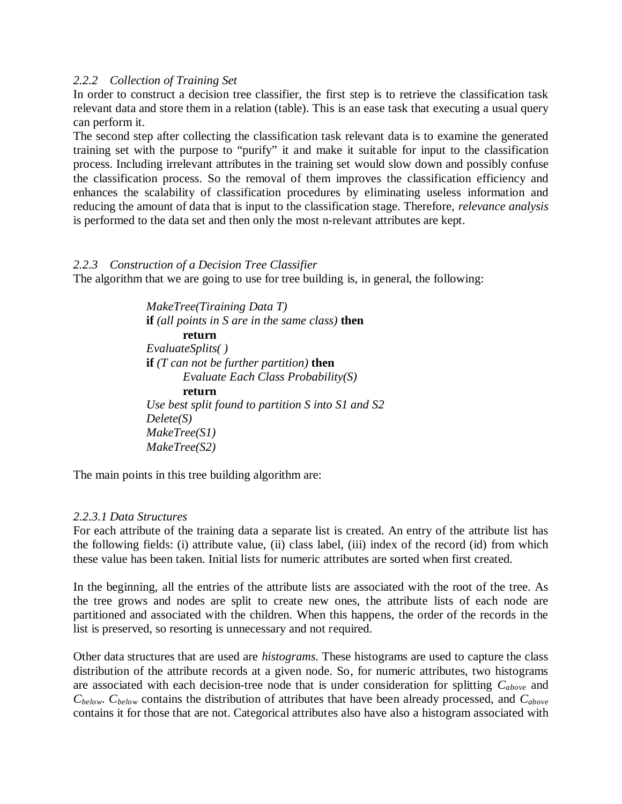#### *2.2.2 Collection of Training Set*

In order to construct a decision tree classifier, the first step is to retrieve the classification task relevant data and store them in a relation (table). This is an ease task that executing a usual query can perform it.

The second step after collecting the classification task relevant data is to examine the generated training set with the purpose to "purify" it and make it suitable for input to the classification process. Including irrelevant attributes in the training set would slow down and possibly confuse the classification process. So the removal of them improves the classification efficiency and enhances the scalability of classification procedures by eliminating useless information and reducing the amount of data that is input to the classification stage. Therefore, *relevance analysis* is performed to the data set and then only the most n-relevant attributes are kept.

#### *2.2.3 Construction of a Decision Tree Classifier*

The algorithm that we are going to use for tree building is, in general, the following:

*MakeTree(Tiraining Data T)* **if** *(all points in S are in the same class)* **then return** *EvaluateSplits( )* **if** *(T can not be further partition)* **then** *Evaluate Each Class Probability(S)* **return** *Use best split found to partition S into S1 and S2 Delete(S) MakeTree(S1) MakeTree(S2)*

The main points in this tree building algorithm are:

#### *2.2.3.1 Data Structures*

For each attribute of the training data a separate list is created. An entry of the attribute list has the following fields: (i) attribute value, (ii) class label, (iii) index of the record (id) from which these value has been taken. Initial lists for numeric attributes are sorted when first created.

In the beginning, all the entries of the attribute lists are associated with the root of the tree. As the tree grows and nodes are split to create new ones, the attribute lists of each node are partitioned and associated with the children. When this happens, the order of the records in the list is preserved, so resorting is unnecessary and not required.

Other data structures that are used are *histograms*. These histograms are used to capture the class distribution of the attribute records at a given node. So, for numeric attributes, two histograms are associated with each decision-tree node that is under consideration for splitting *Cabove* and *Cbelow*. *Cbelow* contains the distribution of attributes that have been already processed, and *Cabove* contains it for those that are not. Categorical attributes also have also a histogram associated with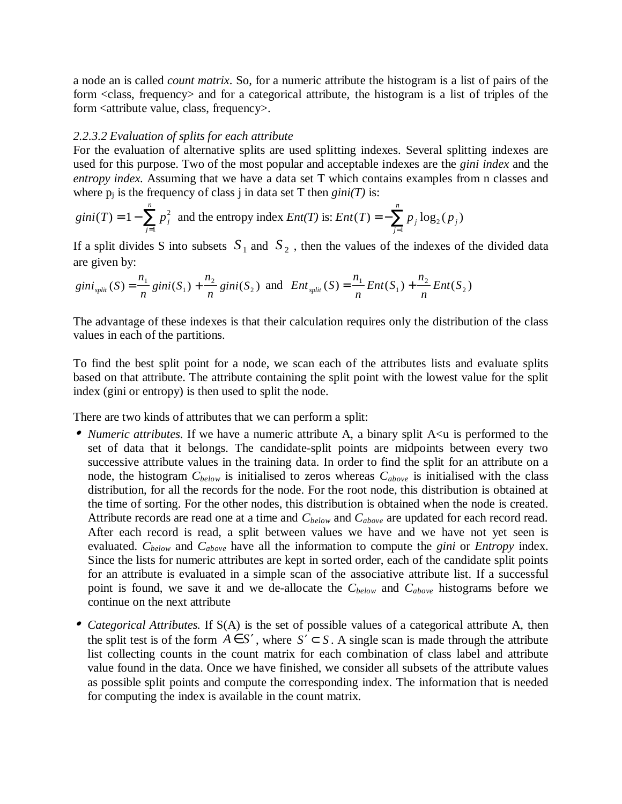a node an is called *count matrix*. So, for a numeric attribute the histogram is a list of pairs of the form <class, frequency> and for a categorical attribute, the histogram is a list of triples of the form <attribute value, class, frequency>.

#### *2.2.3.2 Evaluation of splits for each attribute*

For the evaluation of alternative splits are used splitting indexes. Several splitting indexes are used for this purpose. Two of the most popular and acceptable indexes are the *gini index* and the *entropy index.* Assuming that we have a data set T which contains examples from n classes and where  $p_i$  is the frequency of class j in data set T then  $gini(T)$  is:

$$
gini(T) = 1 - \sum_{j=1}^{n} p_j^2
$$
 and the entropy index  $Ent(T)$  is:  $Ent(T) = -\sum_{j=1}^{n} p_j \log_2(p_j)$ 

If a split divides S into subsets  $S_1$  and  $S_2$ , then the values of the indexes of the divided data are given by:

$$
gini_{split}(S) = \frac{n_1}{n}gini(S_1) + \frac{n_2}{n}gini(S_2) \text{ and } Ent_{split}(S) = \frac{n_1}{n}Ent(S_1) + \frac{n_2}{n}Ent(S_2)
$$

The advantage of these indexes is that their calculation requires only the distribution of the class values in each of the partitions.

To find the best split point for a node, we scan each of the attributes lists and evaluate splits based on that attribute. The attribute containing the split point with the lowest value for the split index (gini or entropy) is then used to split the node.

There are two kinds of attributes that we can perform a split:

- *Numeric attributes*. If we have a numeric attribute A, a binary split A<u is performed to the set of data that it belongs. The candidate-split points are midpoints between every two successive attribute values in the training data. In order to find the split for an attribute on a node, the histogram *Cbelow* is initialised to zeros whereas *Cabove* is initialised with the class distribution, for all the records for the node. For the root node, this distribution is obtained at the time of sorting. For the other nodes, this distribution is obtained when the node is created. Attribute records are read one at a time and *Cbelow* and *Cabove* are updated for each record read. After each record is read, a split between values we have and we have not yet seen is evaluated. *Cbelow* and *Cabove* have all the information to compute the *gini* or *Entropy* index. Since the lists for numeric attributes are kept in sorted order, each of the candidate split points for an attribute is evaluated in a simple scan of the associative attribute list. If a successful point is found, we save it and we de-allocate the *Cbelow* and *Cabove* histograms before we continue on the next attribute
- *Categorical Attributes.* If S(A) is the set of possible values of a categorical attribute A, then the split test is of the form  $A \in S'$ , where  $S' \subset S$ . A single scan is made through the attribute list collecting counts in the count matrix for each combination of class label and attribute value found in the data. Once we have finished, we consider all subsets of the attribute values as possible split points and compute the corresponding index. The information that is needed for computing the index is available in the count matrix.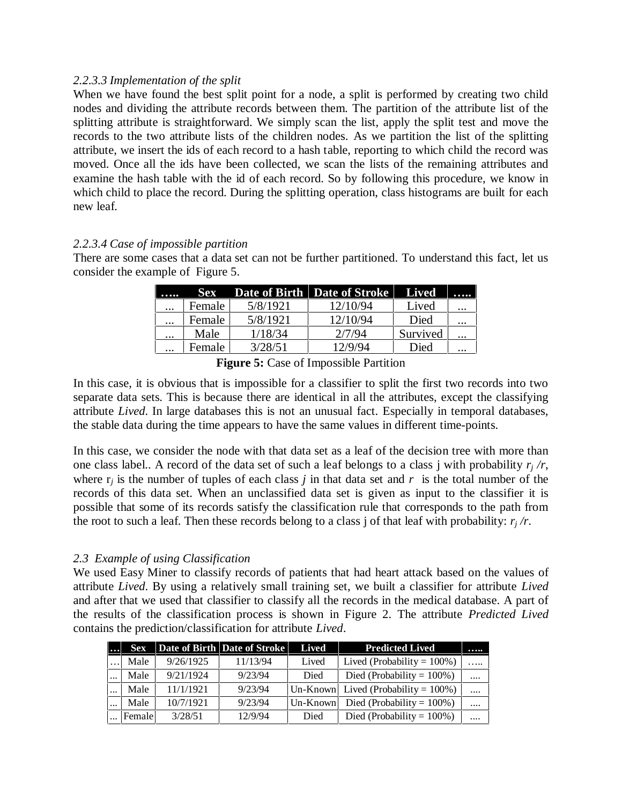#### *2.2.3.3 Implementation of the split*

When we have found the best split point for a node, a split is performed by creating two child nodes and dividing the attribute records between them. The partition of the attribute list of the splitting attribute is straightforward. We simply scan the list, apply the split test and move the records to the two attribute lists of the children nodes. As we partition the list of the splitting attribute, we insert the ids of each record to a hash table, reporting to which child the record was moved. Once all the ids have been collected, we scan the lists of the remaining attributes and examine the hash table with the id of each record. So by following this procedure, we know in which child to place the record. During the splitting operation, class histograms are built for each new leaf.

#### *2.2.3.4 Case of impossible partition*

There are some cases that a data set can not be further partitioned. To understand this fact, let us consider the example of Figure 5.

|          | Sex    |          | Date of Birth Date of Stroke | – Lived  |          |
|----------|--------|----------|------------------------------|----------|----------|
| $\cdots$ | Female | 5/8/1921 | 12/10/94                     | Lived    | $\cdots$ |
| $\cdots$ | Female | 5/8/1921 | 12/10/94                     | Died     | $\cdots$ |
| $\cdots$ | Male   | 1/18/34  | 2/7/94                       | Survived | $\cdots$ |
| $\cdots$ | Female | 3/28/51  | 12/9/94                      | Died     | $\cdots$ |

**Figure 5:** Case of Impossible Partition

In this case, it is obvious that is impossible for a classifier to split the first two records into two separate data sets. This is because there are identical in all the attributes, except the classifying attribute *Lived*. In large databases this is not an unusual fact. Especially in temporal databases, the stable data during the time appears to have the same values in different time-points.

In this case, we consider the node with that data set as a leaf of the decision tree with more than one class label.. A record of the data set of such a leaf belongs to a class j with probability  $r_i/r$ , where  $r_i$  is the number of tuples of each class *j* in that data set and *r* is the total number of the records of this data set. When an unclassified data set is given as input to the classifier it is possible that some of its records satisfy the classification rule that corresponds to the path from the root to such a leaf. Then these records belong to a class j of that leaf with probability:  $r_i/r$ .

#### *2.3 Example of using Classification*

We used Easy Miner to classify records of patients that had heart attack based on the values of attribute *Lived*. By using a relatively small training set, we built a classifier for attribute *Lived* and after that we used that classifier to classify all the records in the medical database. A part of the results of the classification process is shown in Figure 2. The attribute *Predicted Lived* contains the prediction/classification for attribute *Lived*.

| $\ddotsc$ | <b>Sex</b> |           | Date of Birth Date of Stroke | Lived    | <b>Predicted Lived</b>                  |          |
|-----------|------------|-----------|------------------------------|----------|-----------------------------------------|----------|
|           | Male       | 9/26/1925 | 11/13/94                     | Lived    | Lived (Probability = $100\%$ )          | .        |
| $\cdots$  | Male       | 9/21/1924 | 9/23/94                      | Died     | Died (Probability = $100\%$ )           | $\cdots$ |
| $\cdots$  | Male       | 11/1/1921 | 9/23/94                      |          | Un-Known Lived (Probability = $100\%$ ) | $\cdots$ |
| $\cdots$  | Male       | 10/7/1921 | 9/23/94                      | Un-Known | Died (Probability = $100\%$ )           |          |
|           | Female     | 3/28/51   | 12/9/94                      | Died     | Died (Probability = $100\%$ )           |          |
|           |            |           |                              |          |                                         |          |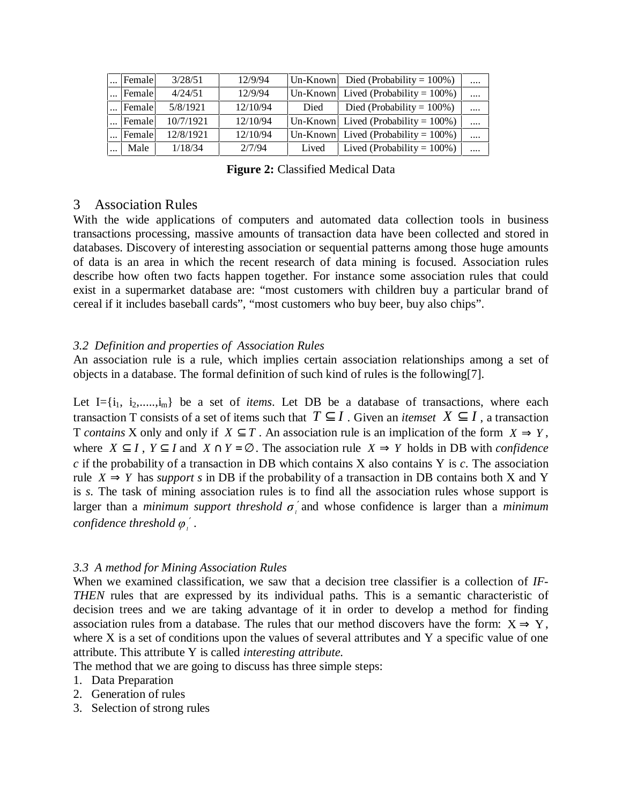| Female | 3/28/51   | 12/9/94  | Un-Known | Died (Probability = $100\%$ )           |          |
|--------|-----------|----------|----------|-----------------------------------------|----------|
| Female | 4/24/51   | 12/9/94  |          | Un-Known Lived (Probability = $100\%$ ) | $\cdots$ |
| Female | 5/8/1921  | 12/10/94 | Died     | Died (Probability = $100\%$ )           | $\cdots$ |
| Female | 10/7/1921 | 12/10/94 |          | Un-Known Lived (Probability = $100\%$ ) | $\cdots$ |
| Female | 12/8/1921 | 12/10/94 |          | Un-Known Lived (Probability = $100\%$ ) | $\cdots$ |
| Male   | 1/18/34   | 2/7/94   | Lived    | Lived (Probability = $100\%$ )          |          |
|        |           |          |          |                                         |          |

**Figure 2:** Classified Medical Data

#### 3 Association Rules

With the wide applications of computers and automated data collection tools in business transactions processing, massive amounts of transaction data have been collected and stored in databases. Discovery of interesting association or sequential patterns among those huge amounts of data is an area in which the recent research of data mining is focused. Association rules describe how often two facts happen together. For instance some association rules that could exist in a supermarket database are: "most customers with children buy a particular brand of cereal if it includes baseball cards", "most customers who buy beer, buy also chips".

#### *3.2 Definition and properties of Association Rules*

An association rule is a rule, which implies certain association relationships among a set of objects in a database. The formal definition of such kind of rules is the following[7].

Let  $I = \{i_1, i_2, \ldots, i_m\}$  be a set of *items*. Let DB be a database of transactions, where each transaction T consists of a set of items such that  $T \subseteq I$ . Given an *itemset*  $X \subseteq I$ , a transaction T *contains* X only and only if  $X \subseteq T$ . An association rule is an implication of the form  $X \Rightarrow Y$ , where  $X \subseteq I$ ,  $Y \subseteq I$  and  $X \cap Y = \emptyset$ . The association rule  $X \Rightarrow Y$  holds in DB with *confidence c* if the probability of a transaction in DB which contains X also contains Y is *c*. The association rule  $X \Rightarrow Y$  has *support s* in DB if the probability of a transaction in DB contains both X and Y is *s*. The task of mining association rules is to find all the association rules whose support is larger than a *minimum support threshold*  $\sigma'$  and whose confidence is larger than a *minimum confidence threshold <sup>l</sup>* ′ .

#### *3.3 A method for Mining Association Rules*

When we examined classification, we saw that a decision tree classifier is a collection of *IF-THEN* rules that are expressed by its individual paths. This is a semantic characteristic of decision trees and we are taking advantage of it in order to develop a method for finding association rules from a database. The rules that our method discovers have the form:  $X \Rightarrow Y$ , where  $X$  is a set of conditions upon the values of several attributes and  $Y$  a specific value of one attribute. This attribute Y is called *interesting attribute.*

The method that we are going to discuss has three simple steps:

- 1. Data Preparation
- 2. Generation of rules
- 3. Selection of strong rules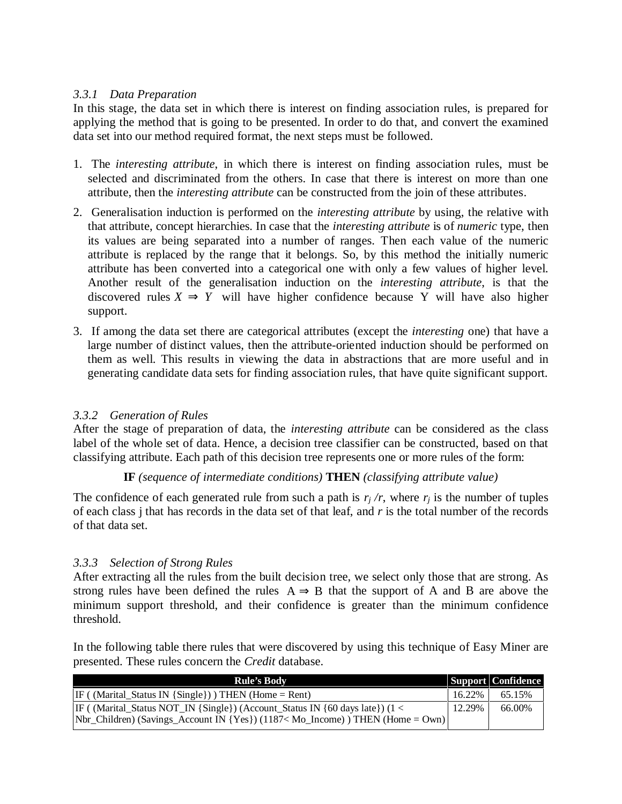#### *3.3.1 Data Preparation*

In this stage, the data set in which there is interest on finding association rules, is prepared for applying the method that is going to be presented. In order to do that, and convert the examined data set into our method required format, the next steps must be followed.

- 1. The *interesting attribute*, in which there is interest on finding association rules, must be selected and discriminated from the others. In case that there is interest on more than one attribute, then the *interesting attribute* can be constructed from the join of these attributes.
- 2. Generalisation induction is performed on the *interesting attribute* by using, the relative with that attribute, concept hierarchies. In case that the *interesting attribute* is of *numeric* type, then its values are being separated into a number of ranges. Then each value of the numeric attribute is replaced by the range that it belongs. So, by this method the initially numeric attribute has been converted into a categorical one with only a few values of higher level. Another result of the generalisation induction on the *interesting attribute*, is that the discovered rules  $X \Rightarrow Y$  will have higher confidence because Y will have also higher support.
- 3. If among the data set there are categorical attributes (except the *interesting* one) that have a large number of distinct values, then the attribute-oriented induction should be performed on them as well. This results in viewing the data in abstractions that are more useful and in generating candidate data sets for finding association rules, that have quite significant support.

#### *3.3.2 Generation of Rules*

After the stage of preparation of data, the *interesting attribute* can be considered as the class label of the whole set of data. Hence, a decision tree classifier can be constructed, based on that classifying attribute. Each path of this decision tree represents one or more rules of the form:

#### **IF** *(sequence of intermediate conditions)* **THEN** *(classifying attribute value)*

The confidence of each generated rule from such a path is  $r_i/r$ , where  $r_i$  is the number of tuples of each class j that has records in the data set of that leaf, and *r* is the total number of the records of that data set.

#### *3.3.3 Selection of Strong Rules*

After extracting all the rules from the built decision tree, we select only those that are strong. As strong rules have been defined the rules  $A \Rightarrow B$  that the support of A and B are above the minimum support threshold, and their confidence is greater than the minimum confidence threshold.

In the following table there rules that were discovered by using this technique of Easy Miner are presented. These rules concern the *Credit* database.

| <b>Rule's Body</b>                                                                 |        | <b>Support</b> Confidence |
|------------------------------------------------------------------------------------|--------|---------------------------|
| $IF($ (Marital_Status IN {Single}) THEN (Home = Rent)                              | 16.22% | 65.15%                    |
| $IF$ (Marital_Status NOT_IN {Single}) (Account_Status IN {60 days late}) (1 <      | 12.29% | 66.00%                    |
| $[Nbr_{chidren})$ (Savings_Account IN {Yes}) (1187< Mo_Income) ) THEN (Home = Own) |        |                           |